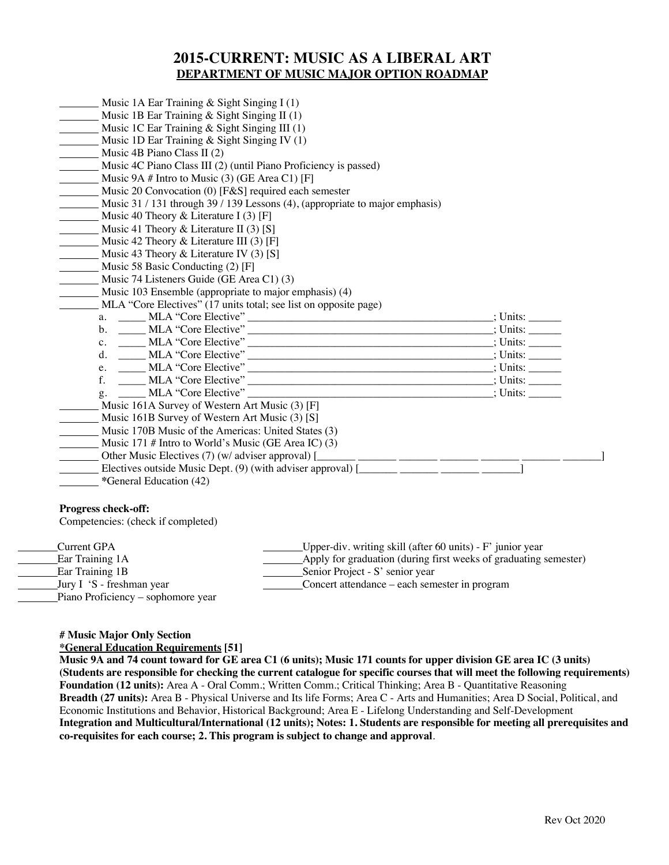## **2015-CURRENT: MUSIC AS A LIBERAL ART DEPARTMENT OF MUSIC MAJOR OPTION ROADMAP**

| Music 1A Ear Training $&$ Sight Singing I (1)                                   |  |
|---------------------------------------------------------------------------------|--|
| Music 1B Ear Training & Sight Singing II (1)                                    |  |
| Music 1C Ear Training $\&$ Sight Singing III (1)                                |  |
| Music 1D Ear Training & Sight Singing IV (1)                                    |  |
| Music 4B Piano Class II (2)                                                     |  |
| Music 4C Piano Class III (2) (until Piano Proficiency is passed)                |  |
| Music 9A # Intro to Music $(3)$ (GE Area C1) [F]                                |  |
| Music 20 Convocation (0) [F&S] required each semester                           |  |
| Music 31/131 through 39/139 Lessons (4), (appropriate to major emphasis)        |  |
| Music 40 Theory & Literature I (3) [F]                                          |  |
| Music 41 Theory & Literature II (3) [S]                                         |  |
| Music 42 Theory & Literature III $(3)$ [F]                                      |  |
| Music 43 Theory & Literature IV (3) [S]                                         |  |
| Music 58 Basic Conducting (2) [F]                                               |  |
| Music 74 Listeners Guide (GE Area C1) (3)                                       |  |
| Music 103 Ensemble (appropriate to major emphasis) (4)                          |  |
| MLA "Core Electives" (17 units total; see list on opposite page)                |  |
|                                                                                 |  |
|                                                                                 |  |
|                                                                                 |  |
|                                                                                 |  |
|                                                                                 |  |
|                                                                                 |  |
| g. _____ MLA "Core Elective"                                                    |  |
| Music 161A Survey of Western Art Music (3) [F]                                  |  |
| Music 161B Survey of Western Art Music (3) [S]                                  |  |
| Music 170B Music of the Americas: United States (3)                             |  |
| Music 171 # Intro to World's Music (GE Area IC) $(3)$                           |  |
|                                                                                 |  |
| Electives outside Music Dept. (9) (with adviser approval) $\boxed{\phantom{a}}$ |  |
| *General Education (42)                                                         |  |

Competencies: (check if completed)

Current GPA Upper-div. writing skill (after 60 units) - F' junior year<br>Ear Training 1A Apply for graduation (during first weeks of graduating Ear Training 1A<br>
Ear Training 1B<br>
Apply for graduation (during first weeks of graduating semester)<br>
Senior Project - S' senior year Ear Training 1B<br>
Jury I 'S - freshman year
Senior Project - S' senior year
Senior Project - S' senior year
Senior Andre - each sem Concert attendance – each semester in program Piano Proficiency – sophomore year

**# Music Major Only Section**

**\*General Education Requirements [51]**

**Music 9A and 74 count toward for GE area C1 (6 units); Music 171 counts for upper division GE area IC (3 units) (Students are responsible for checking the current catalogue for specific courses that will meet the following requirements) Foundation (12 units):** Area A - Oral Comm.; Written Comm.; Critical Thinking; Area B - Quantitative Reasoning **Breadth (27 units):** Area B - Physical Universe and Its life Forms; Area C - Arts and Humanities; Area D Social, Political, and Economic Institutions and Behavior, Historical Background; Area E - Lifelong Understanding and Self-Development **Integration and Multicultural/International (12 units); Notes: 1. Students are responsible for meeting all prerequisites and co-requisites for each course; 2. This program is subject to change and approval**.